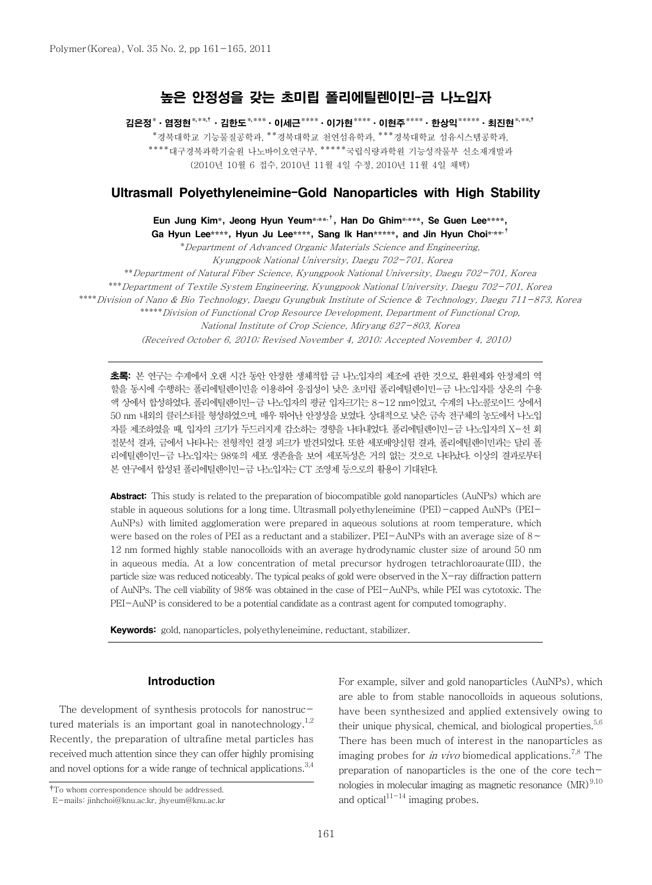# 높은 안정성을 갖는 초미립 폴리에틸렌이민-금 나노입자

김은정\*ㆍ염정현\*\*\*<sup>†</sup>ㆍ김한도<sup>\*,\*\*\*</sup>ㆍ이세근\*\*\*\*ㆍ이기현\*\*\*\*ㆍ이현주\*\*\*\*ㆍ한상익\*\*\*\*\*ㆍ최진현<sup>\*,\*\*†</sup> \*경북대학교 기능물질공학과, \*\*경북대학교 천연섬유학과, \*\*\*경북대학교 섬유시스템공학과, \*\*\*\*대구경북과학기술원 나노바이오연구부, \*\*\*\*\*국립식량과학원 기능성작물부 신소재개발과 (2010년 10월 6 접수, 2010년 11월 4일 수정, 2010년 11월 4일 채택)

# Ultrasmall Polyethyleneimine-Gold Nanoparticles with High Stability

Eun Jung Kim**\***, Jeong Hyun Yeum**\*, \*\*,**<sup>7</sup>, Han Do Ghim**\*, \*\*\***, Se Guen Lee**\*\*\*\***, Ga Hyun Lee\*\*\*\*, Hyun Ju Lee\*\*\*\*, Sang Ik Han\*\*\*\*\*, and Jin Hyun Choi\*\*\*\*<sup>†</sup>

\*Department of Advanced Organic Materials Science and Engineering, Kyungpook National University, Daegu 702-701, Korea \*\*Department of Natural Fiber Science, Kyungpook National University, Daegu 702-701, Korea \*\*\*Department of Textile System Engineering, Kyungpook National University, Daegu 702-701, Korea \*\*\*\*Division of Nano & Bio Technology, Daegu Gyungbuk Institute of Science & Technology, Daegu 711-873, Korea \*\*\*\*\*Division of Functional Crop Resource Development, Department of Functional Crop, National Institute of Crop Science, Miryang 627-803, Korea (Received October 6, 2010; Revised November 4, 2010; Accepted November 4, 2010)

초록: 본 연구는 수계에서 오랜 시간 동안 안정한 생체적합 금 나노입자의 제조에 관한 것으로, 환원제와 안정제의 역 할을 동시에 수행하는 폴리에틸렌이민을 이용하여 응집성이 낮은 초미립 폴리에틸렌이민-금 나노입자를 상온의 수용 액 상에서 합성하였다. 폴리에틸렌이민-금 나노입자의 평균 입자크기는 8∼12 nm이었고, 수계의 나노콜로이드 상에서 50 nm 내외의 클러스터를 형성하였으며, 매우 뛰어난 안정성을 보였다. 상대적으로 낮은 금속 전구체의 농도에서 나노입 자를 제조하였을 때, 입자의 크기가 두드러지게 감소하는 경향을 나타내었다. 폴리에틸렌이민-금 나노입자의 X-선 회 절분석 결과, 금에서 나타나는 전형적인 결정 피크가 발견되었다. 또한 세포배양실험 결과, 폴리에틸렌이민과는 달리 폴 리에틸렌이민-금 나노입자는 98%의 세포 생존율을 보여 세포독성은 거의 없는 것으로 나타났다. 이상의 결과로부터 본 연구에서 합성된 폴리에틸렌이민-금 나노입자는 CT 조영제 등으로의 활용이 기대된다.

**Abstract:** This study is related to the preparation of biocompatible gold nanoparticles (AuNPs) which are stable in aqueous solutions for a long time. Ultrasmall polyethyleneimine (PEI)-capped AuNPs (PEI-AuNPs) with limited agglomeration were prepared in aqueous solutions at room temperature, which were based on the roles of PEI as a reductant and a stabilizer. PEI-AuNPs with an average size of 8∼ 12 nm formed highly stable nanocolloids with an average hydrodynamic cluster size of around 50 nm in aqueous media. At a low concentration of metal precursor hydrogen tetrachloroaurate(III), the particle size was reduced noticeably. The typical peaks of gold were observed in the X-ray diffraction pattern of AuNPs. The cell viability of 98% was obtained in the case of PEI-AuNPs, while PEI was cytotoxic. The PEI-AuNP is considered to be a potential candidate as a contrast agent for computed tomography.

Keywords: gold, nanoparticles, polyethyleneimine, reductant, stabilizer.

### Introduction

The development of synthesis protocols for nanostructured materials is an important goal in nanotechnology.<sup>1,2</sup> Recently, the preparation of ultrafine metal particles has received much attention since they can offer highly promising and novel options for a wide range of technical applications.<sup>3,4</sup>

For example, silver and gold nanoparticles (AuNPs), which are able to from stable nanocolloids in aqueous solutions, have been synthesized and applied extensively owing to their unique physical, chemical, and biological properties. $5,6$ There has been much of interest in the nanoparticles as imaging probes for in vivo biomedical applications.<sup>7,8</sup> The preparation of nanoparticles is the one of the core technologies in molecular imaging as magnetic resonance  $(MR)^{9,10}$ and optical $1^{11-14}$  imaging probes.

<sup>†</sup>To whom correspondence should be addressed.

E-mails: jinhchoi@knu.ac.kr, jhyeum@knu.ac.kr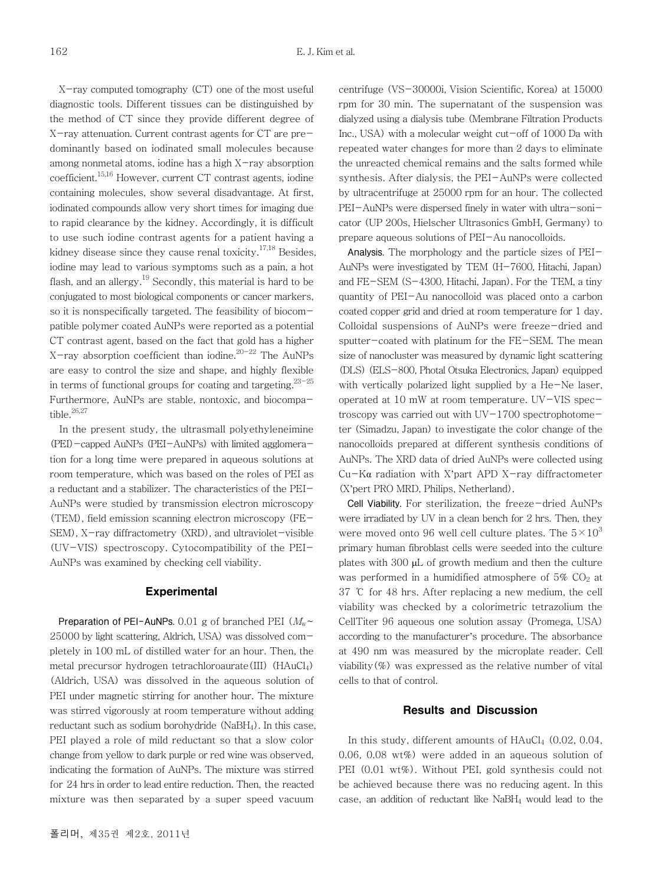X-ray computed tomography (CT) one of the most useful diagnostic tools. Different tissues can be distinguished by the method of CT since they provide different degree of X-ray attenuation. Current contrast agents for CT are predominantly based on iodinated small molecules because among nonmetal atoms, iodine has a high X-ray absorption coefficient.15,16 However, current CT contrast agents, iodine containing molecules, show several disadvantage. At first, iodinated compounds allow very short times for imaging due to rapid clearance by the kidney. Accordingly, it is difficult to use such iodine contrast agents for a patient having a kidney disease since they cause renal toxicity.<sup>17,18</sup> Besides, iodine may lead to various symptoms such as a pain, a hot flash, and an allergy.<sup>19</sup> Secondly, this material is hard to be conjugated to most biological components or cancer markers, so it is nonspecifically targeted. The feasibility of biocompatible polymer coated AuNPs were reported as a potential CT contrast agent, based on the fact that gold has a higher X-ray absorption coefficient than iodine. $20-22$  The AuNPs are easy to control the size and shape, and highly flexible in terms of functional groups for coating and targeting. $23-25$ Furthermore, AuNPs are stable, nontoxic, and biocompatible. $26,27$ 

In the present study, the ultrasmall polyethyleneimine (PEI)-capped AuNPs (PEI-AuNPs) with limited agglomeration for a long time were prepared in aqueous solutions at room temperature, which was based on the roles of PEI as a reductant and a stabilizer. The characteristics of the PEI-AuNPs were studied by transmission electron microscopy (TEM), field emission scanning electron microscopy (FE-SEM), X-ray diffractometry (XRD), and ultraviolet-visible (UV-VIS) spectroscopy. Cytocompatibility of the PEI-AuNPs was examined by checking cell viability.

#### **Experimental**

Preparation of PEI-AuNPs. 0.01 g of branched PEI  $(M_{\rm w}$ ~ 25000 by light scattering, Aldrich, USA) was dissolved completely in 100 mL of distilled water for an hour. Then, the metal precursor hydrogen tetrachloroaurate(III) (HAuCl4) (Aldrich, USA) was dissolved in the aqueous solution of PEI under magnetic stirring for another hour. The mixture was stirred vigorously at room temperature without adding reductant such as sodium borohydride (NaBH4). In this case, PEI played a role of mild reductant so that a slow color change from yellow to dark purple or red wine was observed, indicating the formation of AuNPs. The mixture was stirred for 24 hrs in order to lead entire reduction. Then, the reacted mixture was then separated by a super speed vacuum

centrifuge (VS-30000i, Vision Scientific, Korea) at 15000 rpm for 30 min. The supernatant of the suspension was dialyzed using a dialysis tube (Membrane Filtration Products Inc., USA) with a molecular weight cut-off of 1000 Da with repeated water changes for more than 2 days to eliminate the unreacted chemical remains and the salts formed while synthesis. After dialysis, the PEI-AuNPs were collected by ultracentrifuge at 25000 rpm for an hour. The collected PEI-AuNPs were dispersed finely in water with ultra-sonicator (UP 200s, Hielscher Ultrasonics GmbH, Germany) to prepare aqueous solutions of PEI-Au nanocolloids.

Analysis. The morphology and the particle sizes of PEI-AuNPs were investigated by TEM (H-7600, Hitachi, Japan) and FE-SEM (S-4300, Hitachi, Japan). For the TEM, a tiny quantity of PEI-Au nanocolloid was placed onto a carbon coated copper grid and dried at room temperature for 1 day. Colloidal suspensions of AuNPs were freeze-dried and sputter-coated with platinum for the FE-SEM. The mean size of nanocluster was measured by dynamic light scattering (DLS) (ELS-800, Photal Otsuka Electronics, Japan) equipped with vertically polarized light supplied by a He-Ne laser, operated at 10 mW at room temperature. UV-VIS spectroscopy was carried out with  $UV-1700$  spectrophotometer (Simadzu, Japan) to investigate the color change of the nanocolloids prepared at different synthesis conditions of AuNPs. The XRD data of dried AuNPs were collected using  $Cu-K\alpha$  radiation with X'part APD X-ray diffractometer (X'pert PRO MRD, Philips, Netherland).

Cell Viability. For sterilization, the freeze-dried AuNPs were irradiated by UV in a clean bench for 2 hrs. Then, they were moved onto 96 well cell culture plates. The  $5\times10^3$ primary human fibroblast cells were seeded into the culture plates with 300 μL of growth medium and then the culture was performed in a humidified atmosphere of  $5\%$  CO<sub>2</sub> at 37 ℃ for 48 hrs. After replacing a new medium, the cell viability was checked by a colorimetric tetrazolium the CellTiter 96 aqueous one solution assay (Promega, USA) according to the manufacturer's procedure. The absorbance at 490 nm was measured by the microplate reader. Cell viability  $(\%)$  was expressed as the relative number of vital cells to that of control.

#### Results and Discussion

In this study, different amounts of HAuCl4 (0.02, 0.04, 0.06, 0.08 wt%) were added in an aqueous solution of PEI (0.01 wt%). Without PEI, gold synthesis could not be achieved because there was no reducing agent. In this case, an addition of reductant like NaBH4 would lead to the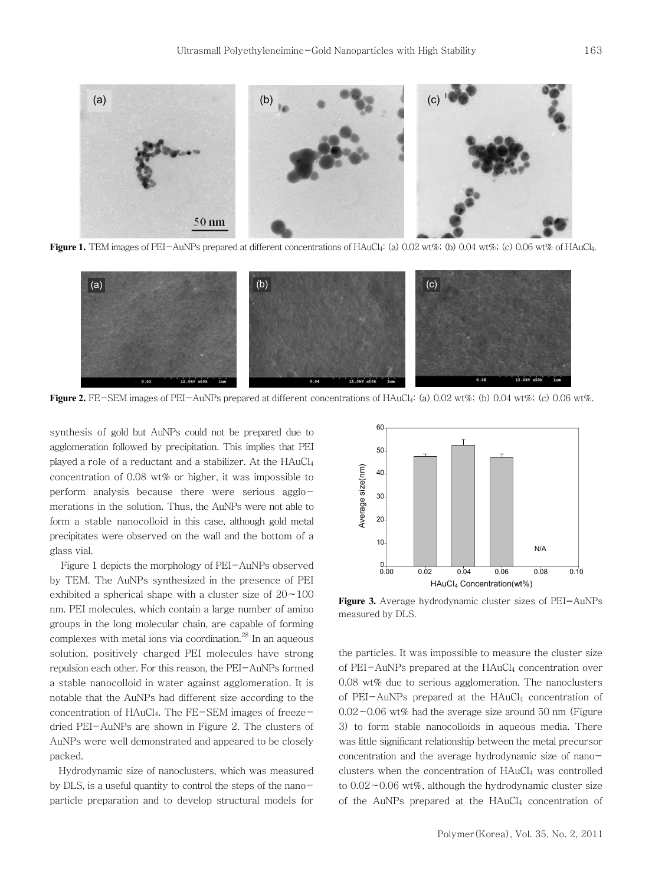

Figure 1. TEM images of PEI-AuNPs prepared at different concentrations of HAuCl<sub>4</sub>: (a) 0.02 wt%; (b) 0.04 wt%; (c) 0.06 wt% of HAuCl<sub>4</sub>.



**Figure 2.** FE-SEM images of PEI-AuNPs prepared at different concentrations of HAuCl<sub>4</sub>: (a) 0.02 wt%; (b) 0.04 wt%; (c) 0.06 wt%.

synthesis of gold but AuNPs could not be prepared due to agglomeration followed by precipitation. This implies that PEI played a role of a reductant and a stabilizer. At the HAuCl<sub>4</sub> concentration of 0.08 wt% or higher, it was impossible to perform analysis because there were serious agglomerations in the solution. Thus, the AuNPs were not able to form a stable nanocolloid in this case, although gold metal precipitates were observed on the wall and the bottom of a glass vial.

Figure 1 depicts the morphology of PEI-AuNPs observed by TEM. The AuNPs synthesized in the presence of PEI exhibited a spherical shape with a cluster size of 20∼100 nm. PEI molecules, which contain a large number of amino groups in the long molecular chain, are capable of forming complexes with metal ions via coordination. $^{28}$  In an aqueous solution, positively charged PEI molecules have strong repulsion each other. For this reason, the PEI-AuNPs formed a stable nanocolloid in water against agglomeration. It is notable that the AuNPs had different size according to the concentration of HAuCl4. The FE-SEM images of freezedried PEI-AuNPs are shown in Figure 2. The clusters of AuNPs were well demonstrated and appeared to be closely packed.

Hydrodynamic size of nanoclusters, which was measured by DLS, is a useful quantity to control the steps of the nanoparticle preparation and to develop structural models for



**Figure 3.** Average hydrodynamic cluster sizes of PEI-AuNPs measured by DLS.

the particles. It was impossible to measure the cluster size of PEI-AuNPs prepared at the HAuCl<sub>4</sub> concentration over 0.08 wt% due to serious agglomeration. The nanoclusters of PEI-AuNPs prepared at the HAuCl<sub>4</sub> concentration of 0.02∼0.06 wt% had the average size around 50 nm (Figure 3) to form stable nanocolloids in aqueous media. There was little significant relationship between the metal precursor concentration and the average hydrodynamic size of nanoclusters when the concentration of HAuCl<sub>4</sub> was controlled to 0.02∼0.06 wt%, although the hydrodynamic cluster size of the AuNPs prepared at the HAuCl<sub>4</sub> concentration of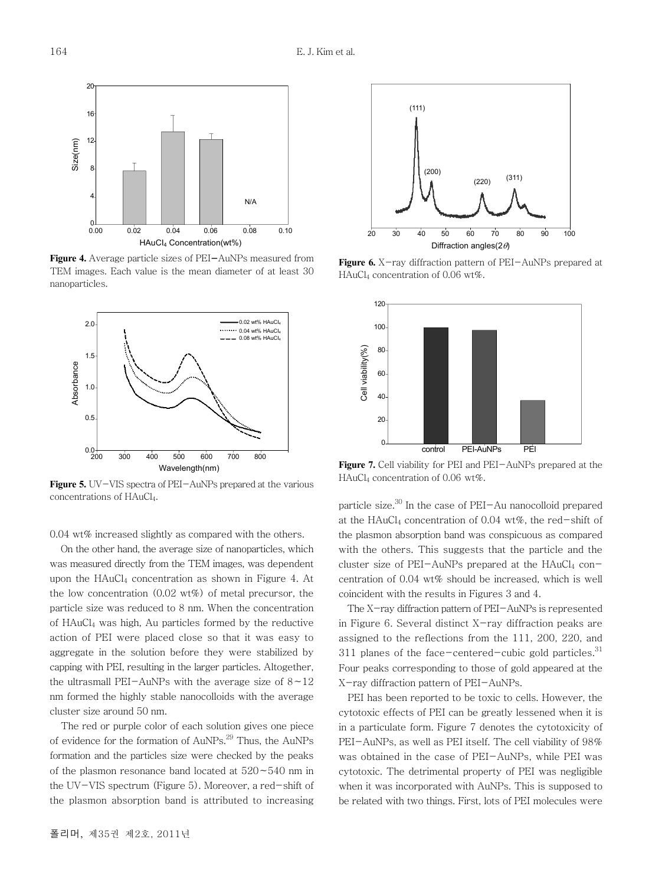

**Figure 4.** Average particle sizes of PEI-AuNPs measured from TEM images. Each value is the mean diameter of at least 30 nanoparticles.



Figure 5. UV-VIS spectra of PEI-AuNPs prepared at the various concentrations of HAuCl<sub>4</sub>.

0.04 wt% increased slightly as compared with the others.

On the other hand, the average size of nanoparticles, which was measured directly from the TEM images, was dependent upon the  $HAuCl<sub>4</sub>$  concentration as shown in Figure 4. At the low concentration  $(0.02 \text{ wt\%})$  of metal precursor, the particle size was reduced to 8 nm. When the concentration of HAuCl4 was high, Au particles formed by the reductive action of PEI were placed close so that it was easy to aggregate in the solution before they were stabilized by capping with PEI, resulting in the larger particles. Altogether, the ultrasmall PEI-AuNPs with the average size of 8∼12 nm formed the highly stable nanocolloids with the average cluster size around 50 nm.

The red or purple color of each solution gives one piece of evidence for the formation of AuNPs.<sup>29</sup> Thus, the AuNPs formation and the particles size were checked by the peaks of the plasmon resonance band located at 520∼540 nm in the UV-VIS spectrum (Figure 5). Moreover, a red-shift of the plasmon absorption band is attributed to increasing



**Figure 6.** X-ray diffraction pattern of PEI-AuNPs prepared at HAuCl4 concentration of 0.06 wt%.



**Figure 7.** Cell viability for PEI and PEI-AuNPs prepared at the HAuCl4 concentration of 0.06 wt%.

particle size. $30$  In the case of PEI-Au nanocolloid prepared at the HAuCl4 concentration of 0.04 wt%, the red-shift of the plasmon absorption band was conspicuous as compared with the others. This suggests that the particle and the cluster size of PEI-AuNPs prepared at the  $HAuCl<sub>4</sub>$  concentration of 0.04 wt% should be increased, which is well coincident with the results in Figures 3 and 4.

The X-ray diffraction pattern of PEI-AuNPs is represented in Figure 6. Several distinct  $X$ -ray diffraction peaks are assigned to the reflections from the 111, 200, 220, and 311 planes of the face-centered-cubic gold particles. $31$ Four peaks corresponding to those of gold appeared at the X-ray diffraction pattern of PEI-AuNPs.

PEI has been reported to be toxic to cells. However, the cytotoxic effects of PEI can be greatly lessened when it is in a particulate form. Figure 7 denotes the cytotoxicity of PEI-AuNPs, as well as PEI itself. The cell viability of 98% was obtained in the case of PEI-AuNPs, while PEI was cytotoxic. The detrimental property of PEI was negligible when it was incorporated with AuNPs. This is supposed to be related with two things. First, lots of PEI molecules were